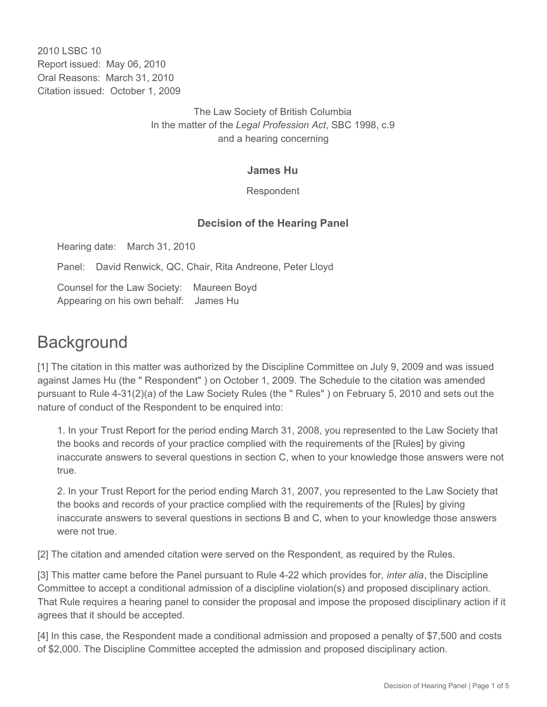2010 LSBC 10 Report issued: May 06, 2010 Oral Reasons: March 31, 2010 Citation issued: October 1, 2009

> The Law Society of British Columbia In the matter of the *Legal Profession Act*, SBC 1998, c.9 and a hearing concerning

#### **James Hu**

Respondent

## **Decision of the Hearing Panel**

Hearing date: March 31, 2010

Panel: David Renwick, QC, Chair, Rita Andreone, Peter Lloyd

Counsel for the Law Society: Maureen Boyd Appearing on his own behalf: James Hu

# **Background**

[1] The citation in this matter was authorized by the Discipline Committee on July 9, 2009 and was issued against James Hu (the " Respondent" ) on October 1, 2009. The Schedule to the citation was amended pursuant to Rule 4-31(2)(a) of the Law Society Rules (the " Rules" ) on February 5, 2010 and sets out the nature of conduct of the Respondent to be enquired into:

1. In your Trust Report for the period ending March 31, 2008, you represented to the Law Society that the books and records of your practice complied with the requirements of the [Rules] by giving inaccurate answers to several questions in section C, when to your knowledge those answers were not true.

2. In your Trust Report for the period ending March 31, 2007, you represented to the Law Society that the books and records of your practice complied with the requirements of the [Rules] by giving inaccurate answers to several questions in sections B and C, when to your knowledge those answers were not true.

[2] The citation and amended citation were served on the Respondent, as required by the Rules.

[3] This matter came before the Panel pursuant to Rule 4-22 which provides for, *inter alia*, the Discipline Committee to accept a conditional admission of a discipline violation(s) and proposed disciplinary action. That Rule requires a hearing panel to consider the proposal and impose the proposed disciplinary action if it agrees that it should be accepted.

[4] In this case, the Respondent made a conditional admission and proposed a penalty of \$7,500 and costs of \$2,000. The Discipline Committee accepted the admission and proposed disciplinary action.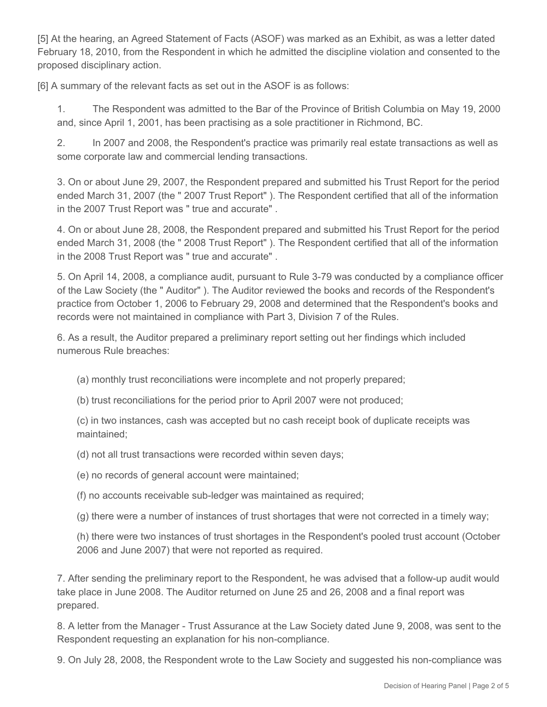[5] At the hearing, an Agreed Statement of Facts (ASOF) was marked as an Exhibit, as was a letter dated February 18, 2010, from the Respondent in which he admitted the discipline violation and consented to the proposed disciplinary action.

[6] A summary of the relevant facts as set out in the ASOF is as follows:

1. The Respondent was admitted to the Bar of the Province of British Columbia on May 19, 2000 and, since April 1, 2001, has been practising as a sole practitioner in Richmond, BC.

2. In 2007 and 2008, the Respondent's practice was primarily real estate transactions as well as some corporate law and commercial lending transactions.

3. On or about June 29, 2007, the Respondent prepared and submitted his Trust Report for the period ended March 31, 2007 (the " 2007 Trust Report" ). The Respondent certified that all of the information in the 2007 Trust Report was " true and accurate" .

4. On or about June 28, 2008, the Respondent prepared and submitted his Trust Report for the period ended March 31, 2008 (the " 2008 Trust Report" ). The Respondent certified that all of the information in the 2008 Trust Report was " true and accurate" .

5. On April 14, 2008, a compliance audit, pursuant to Rule 3-79 was conducted by a compliance officer of the Law Society (the " Auditor" ). The Auditor reviewed the books and records of the Respondent's practice from October 1, 2006 to February 29, 2008 and determined that the Respondent's books and records were not maintained in compliance with Part 3, Division 7 of the Rules.

6. As a result, the Auditor prepared a preliminary report setting out her findings which included numerous Rule breaches:

(a) monthly trust reconciliations were incomplete and not properly prepared;

(b) trust reconciliations for the period prior to April 2007 were not produced;

(c) in two instances, cash was accepted but no cash receipt book of duplicate receipts was maintained;

(d) not all trust transactions were recorded within seven days;

(e) no records of general account were maintained;

(f) no accounts receivable sub-ledger was maintained as required;

(g) there were a number of instances of trust shortages that were not corrected in a timely way;

(h) there were two instances of trust shortages in the Respondent's pooled trust account (October 2006 and June 2007) that were not reported as required.

7. After sending the preliminary report to the Respondent, he was advised that a follow-up audit would take place in June 2008. The Auditor returned on June 25 and 26, 2008 and a final report was prepared.

8. A letter from the Manager - Trust Assurance at the Law Society dated June 9, 2008, was sent to the Respondent requesting an explanation for his non-compliance.

9. On July 28, 2008, the Respondent wrote to the Law Society and suggested his non-compliance was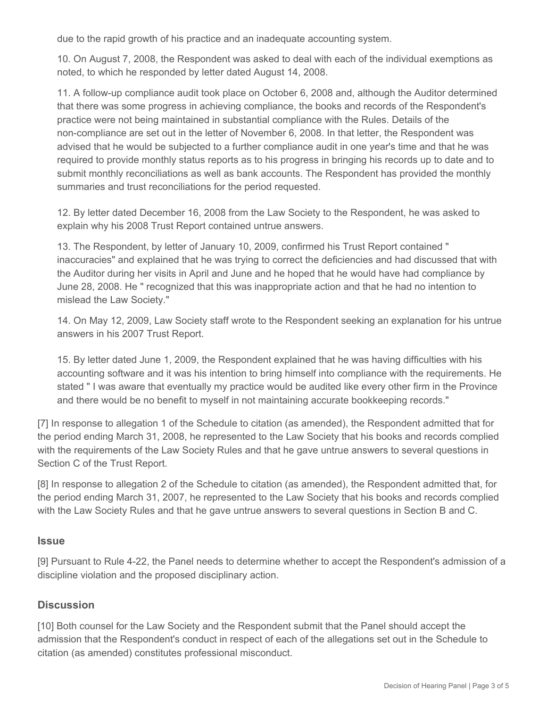due to the rapid growth of his practice and an inadequate accounting system.

10. On August 7, 2008, the Respondent was asked to deal with each of the individual exemptions as noted, to which he responded by letter dated August 14, 2008.

11. A follow-up compliance audit took place on October 6, 2008 and, although the Auditor determined that there was some progress in achieving compliance, the books and records of the Respondent's practice were not being maintained in substantial compliance with the Rules. Details of the non-compliance are set out in the letter of November 6, 2008. In that letter, the Respondent was advised that he would be subjected to a further compliance audit in one year's time and that he was required to provide monthly status reports as to his progress in bringing his records up to date and to submit monthly reconciliations as well as bank accounts. The Respondent has provided the monthly summaries and trust reconciliations for the period requested.

12. By letter dated December 16, 2008 from the Law Society to the Respondent, he was asked to explain why his 2008 Trust Report contained untrue answers.

13. The Respondent, by letter of January 10, 2009, confirmed his Trust Report contained " inaccuracies" and explained that he was trying to correct the deficiencies and had discussed that with the Auditor during her visits in April and June and he hoped that he would have had compliance by June 28, 2008. He " recognized that this was inappropriate action and that he had no intention to mislead the Law Society."

14. On May 12, 2009, Law Society staff wrote to the Respondent seeking an explanation for his untrue answers in his 2007 Trust Report.

15. By letter dated June 1, 2009, the Respondent explained that he was having difficulties with his accounting software and it was his intention to bring himself into compliance with the requirements. He stated " I was aware that eventually my practice would be audited like every other firm in the Province and there would be no benefit to myself in not maintaining accurate bookkeeping records."

[7] In response to allegation 1 of the Schedule to citation (as amended), the Respondent admitted that for the period ending March 31, 2008, he represented to the Law Society that his books and records complied with the requirements of the Law Society Rules and that he gave untrue answers to several questions in Section C of the Trust Report.

[8] In response to allegation 2 of the Schedule to citation (as amended), the Respondent admitted that, for the period ending March 31, 2007, he represented to the Law Society that his books and records complied with the Law Society Rules and that he gave untrue answers to several questions in Section B and C.

#### **Issue**

[9] Pursuant to Rule 4-22, the Panel needs to determine whether to accept the Respondent's admission of a discipline violation and the proposed disciplinary action.

## **Discussion**

[10] Both counsel for the Law Society and the Respondent submit that the Panel should accept the admission that the Respondent's conduct in respect of each of the allegations set out in the Schedule to citation (as amended) constitutes professional misconduct.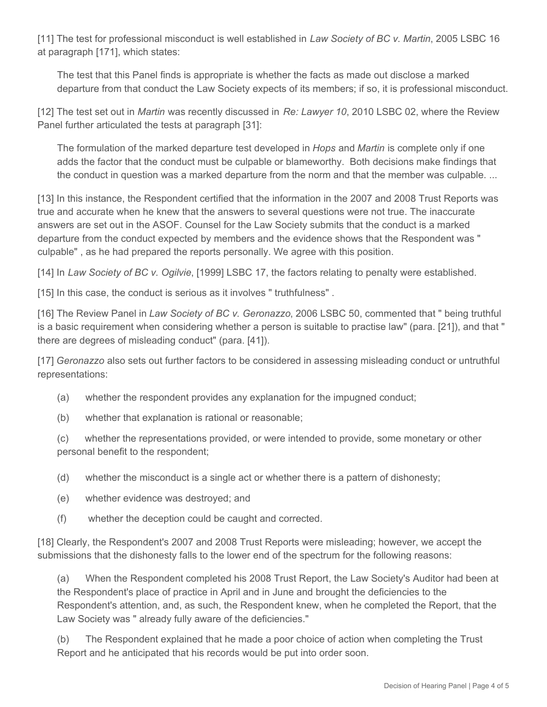[11] The test for professional misconduct is well established in *Law Society of BC v. Martin*, 2005 LSBC 16 at paragraph [171], which states:

The test that this Panel finds is appropriate is whether the facts as made out disclose a marked departure from that conduct the Law Society expects of its members; if so, it is professional misconduct.

[12] The test set out in *Martin* was recently discussed in *Re: Lawyer 10*, 2010 LSBC 02, where the Review Panel further articulated the tests at paragraph [31]:

The formulation of the marked departure test developed in *Hops* and *Martin* is complete only if one adds the factor that the conduct must be culpable or blameworthy. Both decisions make findings that the conduct in question was a marked departure from the norm and that the member was culpable. ...

[13] In this instance, the Respondent certified that the information in the 2007 and 2008 Trust Reports was true and accurate when he knew that the answers to several questions were not true. The inaccurate answers are set out in the ASOF. Counsel for the Law Society submits that the conduct is a marked departure from the conduct expected by members and the evidence shows that the Respondent was " culpable" , as he had prepared the reports personally. We agree with this position.

[14] In *Law Society of BC v. Ogilvie*, [1999] LSBC 17, the factors relating to penalty were established.

[15] In this case, the conduct is serious as it involves " truthfulness" .

[16] The Review Panel in *Law Society of BC v. Geronazzo*, 2006 LSBC 50, commented that " being truthful is a basic requirement when considering whether a person is suitable to practise law" (para. [21]), and that " there are degrees of misleading conduct" (para. [41]).

[17] *Geronazzo* also sets out further factors to be considered in assessing misleading conduct or untruthful representations:

- (a) whether the respondent provides any explanation for the impugned conduct;
- (b) whether that explanation is rational or reasonable;

(c) whether the representations provided, or were intended to provide, some monetary or other personal benefit to the respondent;

(d) whether the misconduct is a single act or whether there is a pattern of dishonesty;

- (e) whether evidence was destroyed; and
- (f) whether the deception could be caught and corrected.

[18] Clearly, the Respondent's 2007 and 2008 Trust Reports were misleading; however, we accept the submissions that the dishonesty falls to the lower end of the spectrum for the following reasons:

(a) When the Respondent completed his 2008 Trust Report, the Law Society's Auditor had been at the Respondent's place of practice in April and in June and brought the deficiencies to the Respondent's attention, and, as such, the Respondent knew, when he completed the Report, that the Law Society was " already fully aware of the deficiencies."

(b) The Respondent explained that he made a poor choice of action when completing the Trust Report and he anticipated that his records would be put into order soon.